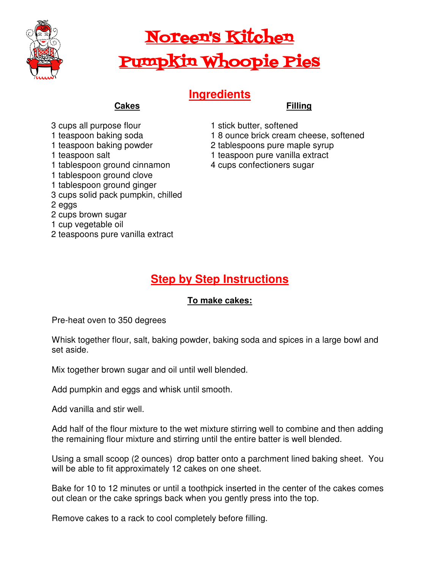

# Noreen's Kitchen Pumpkin Whoopie Pies

## **Ingredients**

#### **Filling**

- **Cakes**
- 3 cups all purpose flour
- 1 teaspoon baking soda
- 1 teaspoon baking powder
- 1 teaspoon salt
- 1 tablespoon ground cinnamon
- 1 tablespoon ground clove
- 1 tablespoon ground ginger
- 3 cups solid pack pumpkin, chilled

#### 2 eggs

- 2 cups brown sugar
- 1 cup vegetable oil
- 2 teaspoons pure vanilla extract
- 1 stick butter, softened
- 1 8 ounce brick cream cheese, softened
- 2 tablespoons pure maple syrup
- 1 teaspoon pure vanilla extract
- 4 cups confectioners sugar

## **Step by Step Instructions**

### **To make cakes:**

Pre-heat oven to 350 degrees

Whisk together flour, salt, baking powder, baking soda and spices in a large bowl and set aside.

Mix together brown sugar and oil until well blended.

Add pumpkin and eggs and whisk until smooth.

Add vanilla and stir well.

Add half of the flour mixture to the wet mixture stirring well to combine and then adding the remaining flour mixture and stirring until the entire batter is well blended.

Using a small scoop (2 ounces) drop batter onto a parchment lined baking sheet. You will be able to fit approximately 12 cakes on one sheet.

Bake for 10 to 12 minutes or until a toothpick inserted in the center of the cakes comes out clean or the cake springs back when you gently press into the top.

Remove cakes to a rack to cool completely before filling.